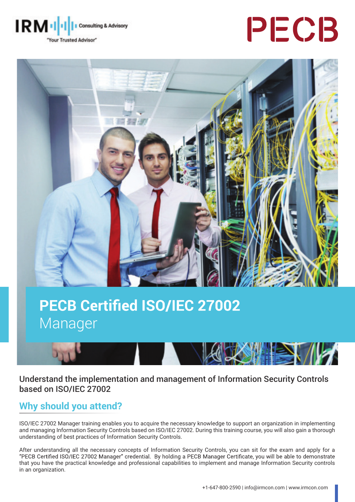**IRM** Consulting & Advisory "Your Trusted Advisor"

# PECB



## **PECB Certified ISO/IEC 27002** Manager

Understand the implementation and management of Information Security Controls based on ISO/IEC 27002

## **Why should you attend?**

ISO/IEC 27002 Manager training enables you to acquire the necessary knowledge to support an organization in implementing and managing Information Security Controls based on ISO/IEC 27002. During this training course, you will also gain a thorough understanding of best practices of Information Security Controls.

After understanding all the necessary concepts of Information Security Controls, you can sit for the exam and apply for a<br>"PECB Certified ISO/IEC 27002 Manager" credential. By holding a PECB Manager Certificate, you will b that you have the practical knowledge and professional capabilities to implement and manage Information Security controls in an organization.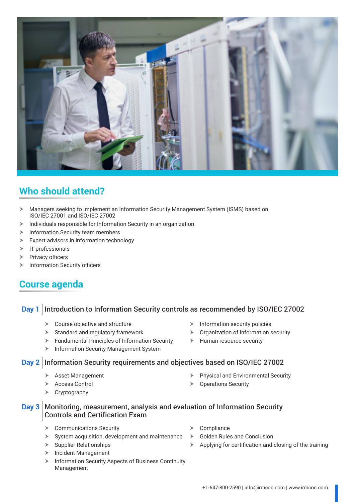

## **Who should attend?**

- h Managers seeking to implement an Information Security Management System (ISMS) based on ISO/IEC 27001 and ISO/IEC 27002
- $\blacktriangleright$  Individuals responsible for Information Security in an organization
- $\blacktriangleright$  Information Security team members
- $\triangleright$  Expert advisors in information technology
- $\triangleright$  IT professionals
- $\triangleright$  Privacy officers
- $\blacktriangleright$  Information Security officers

### **Course agenda**

#### **Day 1** Introduction to Information Security controls as recommended by ISO/IEC 27002

- $\triangleright$  Course objective and structure
- $\blacktriangleright$  Standard and regulatory framework
- $\blacktriangleright$  Fundamental Principles of Information Security
- **> Information Security Management System**

#### **Day 2** Information Security requirements and objectives based on ISO/IEC 27002

- Asset Management
- > Access Control
- $\triangleright$  Cryptography

 $\blacktriangleright$  Information security policies

 $\blacktriangleright$  Human resource security

 $\triangleright$  Physical and Environmental Security

 $\triangleright$  Organization of information security

- $\triangleright$  Operations Security
- **Day 3** Monitoring, measurement, analysis and evaluation of Information Security Controls and Certification Exam
	- $\triangleright$  Communications Security
	- $\blacktriangleright$  System acquisition, development and maintenance
	- $\triangleright$  Supplier Relationships
	- $\blacktriangleright$  Incident Management
	- **K** Information Security Aspects of Business Continuity Management
- Compliance
- **Golden Rules and Conclusion**
- $\triangleright$  Applying for certification and closing of the training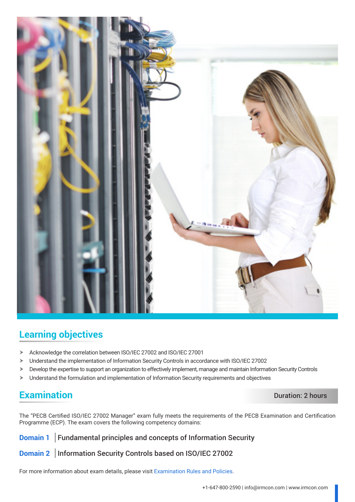

## **Learning objectives**

- h Acknowledge the correlation between ISO/IEC 27002 and ISO/IEC 27001
- > Understand the implementation of Information Security Controls in accordance with ISO/IEC 27002
- $\triangleright$  Develop the expertise to support an organization to effectively implement, manage and maintain Information Security Controls
- > Understand the formulation and implementation of Information Security requirements and objectives

## **Examination** Duration: 2 hours

The "PECB Certified ISO/IEC 27002 Manager" exam fully meets the requirements of the PECB Examination and Certification Programme (ECP). The exam covers the following competency domains:

**Domain 1** Fundamental principles and concepts of Information Security

**Domain 2** | Information Security Controls based on ISO/IEC 27002

For more information about exam details, please visit [Examination Rules and Policies](https://pecb.com/en/examination-rules-and-policies).